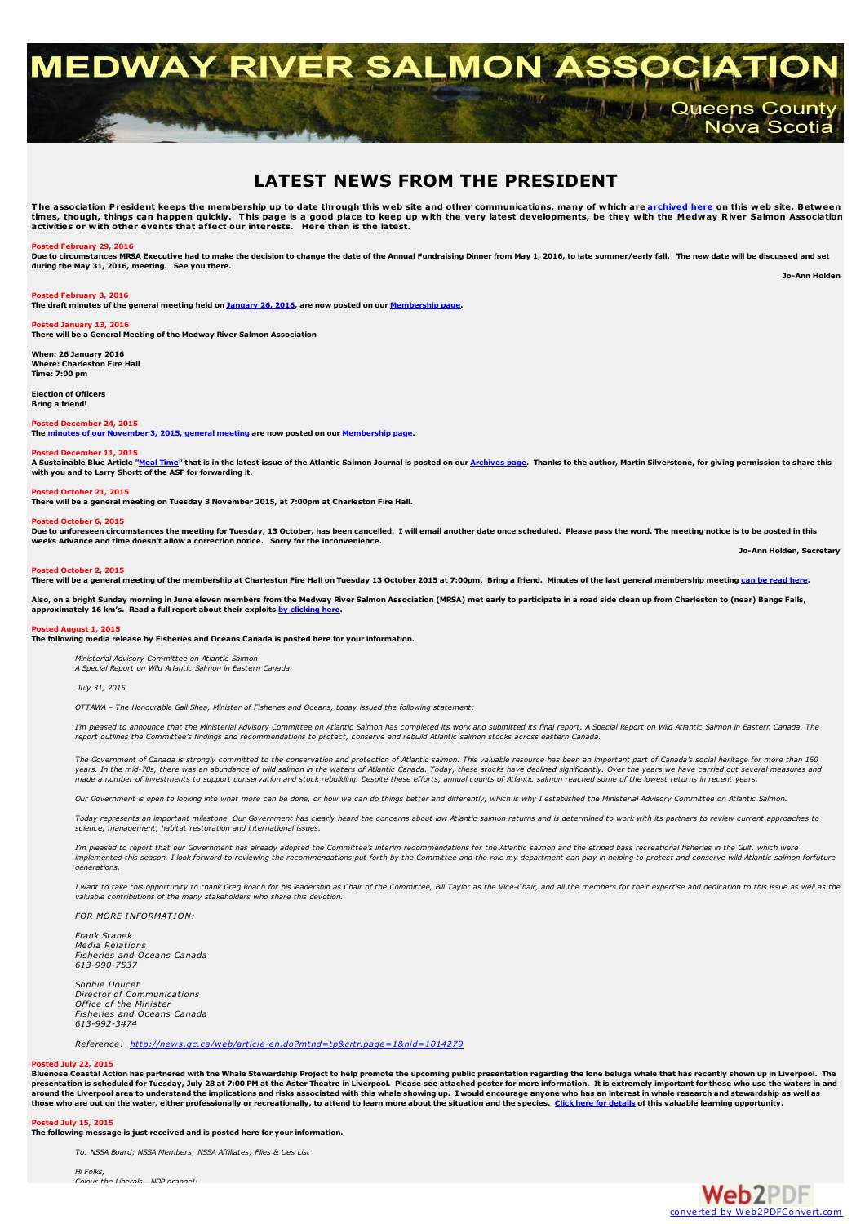# **MEDWAY RIVER SALMON ASSOCI Manufactured County** Nova Scotia

## **LATEST NEWS FROM THE PRESIDENT**

The association President keeps the membership up to date through this web site and other communications, many of which are <mark>[archived](http://medwayriversalmonassociation.org/archives/archives.html) here</mark> on this web site. Between<br>times, though, things can happen quickly. This page is a

#### **Posted February 29, 2016**

Due to circumstances MRSA Executive had to make the decision to change the date of the Annual Fundraising Dinner from May 1, 2016, to late summer/early fall. The new date will be discussed and set **during the May 31, 2016, meeting. See you there.**

**Jo-Ann Holden**

**Posted February 3, 2016**

The draft minutes of the general meeting held on **[January](http://medwayriversalmonassociation.org/membership/mrsa_minutes 26 January 2016.pdf) 26, 2016**, are now posted on our **[Membership](http://medwayriversalmonassociation.org/membership/membership.html) page**.

#### **Posted January 13, 2016**

**There will be a General Meeting of the Medway River Salmon Association**

**When: 26 January 2016 Where: Charleston Fire Hall Time: 7:00 pm**

**Election of Officers Bring a friend!**

#### **Posted December 24, 2015**

**The minutes of our [November](http://medwayriversalmonassociation.org/membership/mrsa_minutes 3 November 2015.pdf) 3, 2015, general meeting are now posted on our [Membership](http://medwayriversalmonassociation.org/membership/membership.html) page.**

#### **Posted December 11, 2015**

A Sustainable Blue Article ["Meal](http://medwayriversalmonassociation.org/archives/Atlantic Salmon Journal Article.pdf) Time" that is in the latest issue of the Atlantic Salmon Journal is posted on our [Archives](http://medwayriversalmonassociation.org/archives/archives.html) page. Thanks to the author, Martin Silverstone, for giving permission to share this **with you and to Larry Shortt of the ASF for forwarding it.**

#### **Posted October 21, 2015**

**There will be a general meeting on Tuesday 3 November 2015, at 7:00pm at Charleston Fire Hall.**

#### **Posted October 6, 2015**

n be to unforeseen circumstances the meeting for Tuesday, 13 October, has been cancelled. I will email another date once scheduled. Please pass the word. The meeting notice is to be posted in this **weeks Advance and time doesn't allow a correction notice. Sorry for the inconvenience.**

**Jo-Ann Holden, Secretary**

#### **Posted October 2, 2015**

There will be a general meeting of the membership at Charleston Fire Hall on Tuesday 13 October 2015 at 7:00pm. Bring a friend. Minutes of the last general membership meeting can be read [here.](http://medwayriversalmonassociation.org/membership/mrsa_minutes 26 May 2015.pdf)

Also, on a bright Sunday morning in June eleven members from the Medway River Salmon Association (MRSA) met early to participate in a road side clean up from Charleston to (near) Bangs Falls, **approximately 16 km's. Read a full report about their exploits by [clicking](http://medwayriversalmonassociation.org/projects/mrsa_cleanup2015.pdf) here.**

#### **Posted August 1, 2015**

**The following media release by Fisheries and Oceans Canada is posted here for your information.**

*Ministerial Advisory Committee on Atlantic Salmon A Special Report on Wild Atlantic Salmon in Eastern Canada*

*July 31, 2015*

*OTTAWA – The Honourable Gail Shea, Minister of Fisheries and Oceans, today issued the following statement:*

I'm pleased to announce that the Ministerial Advisory Committee on Atlantic Salmon has completed its work and submitted its final report. A Special Report on Wild Atlantic Salmon in Eastern Canada. The report outlines the Committee's findings and recommendations to protect, conserve and rebuild Atlantic salmon stocks across eastern Canada.

The Government of Canada is strongly committed to the conservation and protection of Atlantic salmon. This valuable resource has been an important part of Canada's social heritage for more than 150 vears. In the mid-70s, there was an abundance of wild salmon in the waters of Atlantic Canada. Today, these stocks have declined significantly. Over the vears we have carried out several measures and y cases, a man be of investments to support conservation and stock rebuilding. Despite these efforts, annual counts of Atlantic salmon reached some of the lowest returns in recent years.<br>The counter of investments to suppo

Our Government is onen to looking into what more can be done, or how we can do things better and differently, which is why I established the Ministerial Advisory Committee on Atlantic Salmon

Today represents an important milestone. Our Government has clearly heard the concerns about low Atlantic salmon returns and is determined to work with its partners to review current approaches to *science, management, habitat restoration and international issues.*

I'm pleased to report that our Government has already adopted the Committee's interim recommendations for the Atlantic salmon and the striped bass recreational fisheries in the Gulf, which were implemented this season. I look forward to reviewing the recommendations put forth by the Committee and the role my department can play in helping to protect and conserve wild Atlantic salmon forfuture *generations.*

I want to take this opportunity to thank Greg Roach for his leadership as Chair of the Committee. Bill Taylor as the Vice-Chair, and all the members for their expertise and dedication to this issue as well as the *valuable contributions of the many stakeholders who share this devotion.*

*FOR MORE INFORMATION: Frank Stanek Media Relations*

*Fisheries and Oceans Canada 613-990-7537*

*Sophie Doucet Director of Communications Office of the Minister Fisheries and Oceans Canada 613-992-3474*

*Reference: <http://news.gc.ca/web/article-en.do?mthd=tp&crtr.page=1&nid=1014279>*

#### **Posted July 22, 2015**

Bluenose Coastal Action has partnered with the Whale Stewardship Project to help promote the upcoming public presentation regarding the lone beluga whale that has recently shown up in Liverpool. The presentation is scheduled for Tuesday, July 28 at 7:00 PM at the Aster Theatre in Liverpool. Please see attached poster for more information. It is extremely important for those who use the waters in and<br>around the Liverpo those who are out on the water, either professionally or recreationally, to attend to learn more about the situation and the species. Click here for [details](http://medwayriversalmonassociation.org/presidentsnews/WSP SS Presentation Jul282015 posterFINAL.pdf) of this valuable learning opportunity,

#### **Posted July 15, 2015**

**The following message is just received and is posted here for your information.**

*To: NSSA Board; NSSA Members; NSSA Affiliates; Flies & Lies List*

*Hi Folks, Colour the Liberals...NDP orange!!*